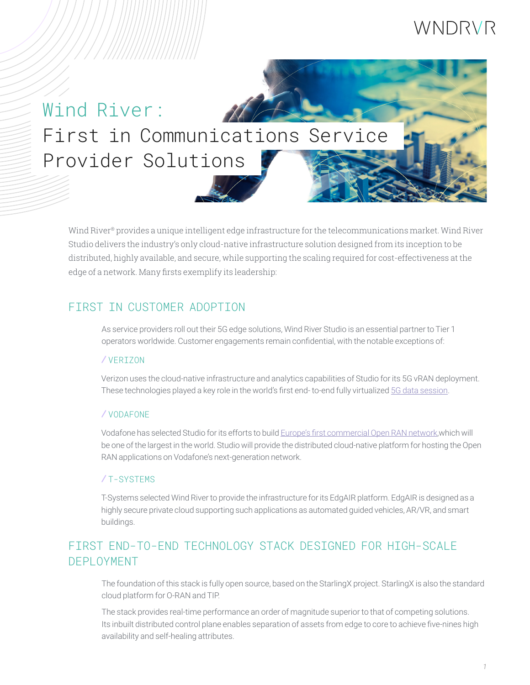# WNDRVR

# Wind River: First in Communications Service Provider Solutions

Wind River® provides a unique intelligent edge infrastructure for the telecommunications market. Wind River Studio delivers the industry's only cloud-native infrastructure solution designed from its inception to be distributed, highly available, and secure, while supporting the scaling required for cost-effectiveness at the edge of a network. Many firsts exemplify its leadership:

# FIRST IN CUSTOMER ADOPTION

As service providers roll out their 5G edge solutions, Wind River Studio is an essential partner to Tier 1 operators worldwide. Customer engagements remain confidential, with the notable exceptions of:

#### / VERIZON

Verizon uses the cloud-native infrastructure and analytics capabilities of Studio for its 5G vRAN deployment. These technologies played a key role in the world's first end- to-end fully virtualized [5G data session](https://www.verizon.com/about/news/verizon-fully-virtualized-5g-data-session).

#### / VODAFONE

Vodafone has selected Studio for its efforts to build [Europe's first commercial Open RAN network](https://www.vodafone.com/news/press-release/vodafone-europe-first-commercial-open-ran-network ),which will be one of the largest in the world. Studio will provide the distributed cloud-native platform for hosting the Open RAN applications on Vodafone's next-generation network.

#### / T-SYSTEMS

T-Systems selected Wind River to provide the infrastructure for its EdgAIR platform. EdgAIR is designed as a highly secure private cloud supporting such applications as automated guided vehicles, AR/VR, and smart buildings.

# FIRST END-TO-END TECHNOLOGY STACK DESIGNED FOR HIGH-SCALE DEPLOYMENT

The foundation of this stack is fully open source, based on the StarlingX project. StarlingX is also the standard cloud platform for O-RAN and TIP.

The stack provides real-time performance an order of magnitude superior to that of competing solutions. Its inbuilt distributed control plane enables separation of assets from edge to core to achieve five-nines high availability and self-healing attributes.